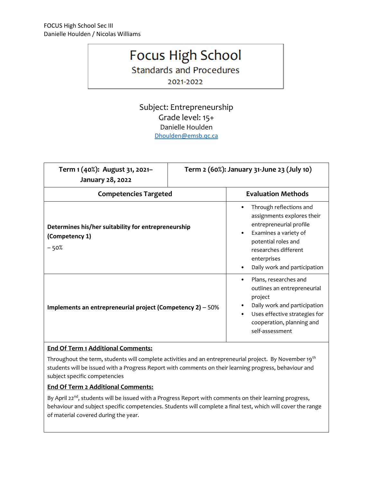## **Focus High School**

**Standards and Procedures** 

2021-2022

Subject: Entrepreneurship Grade level: 15+ Danielle Houlden [Dhoulden@emsb.qc.ca](mailto:Nwilliams@emsb.qc.ca)

| Term 1 (40%): August 31, 2021-<br>January 28, 2022                              |  | Term 2 (60%): January 31-June 23 (July 10)                                                                                                                                                              |
|---------------------------------------------------------------------------------|--|---------------------------------------------------------------------------------------------------------------------------------------------------------------------------------------------------------|
| <b>Competencies Targeted</b>                                                    |  | <b>Evaluation Methods</b>                                                                                                                                                                               |
| Determines his/her suitability for entrepreneurship<br>(Competency 1)<br>$-50%$ |  | Through reflections and<br>assignments explores their<br>entrepreneurial profile<br>Examines a variety of<br>potential roles and<br>researches different<br>enterprises<br>Daily work and participation |
| Implements an entrepreneurial project (Competency $2$ ) – 50%                   |  | Plans, researches and<br>outlines an entrepreneurial<br>project<br>Daily work and participation<br>Uses effective strategies for<br>cooperation, planning and<br>self-assessment                        |

## **End Of Term 1 Additional Comments:**

Throughout the term, students will complete activities and an entrepreneurial project. By November 19<sup>th</sup> students will be issued with a Progress Report with comments on their learning progress, behaviour and subject specific competencies

## **End Of Term 2 Additional Comments:**

By April 22<sup>nd</sup>, students will be issued with a Progress Report with comments on their learning progress, behaviour and subject specific competencies. Students will complete a final test, which will cover the range of material covered during the year.